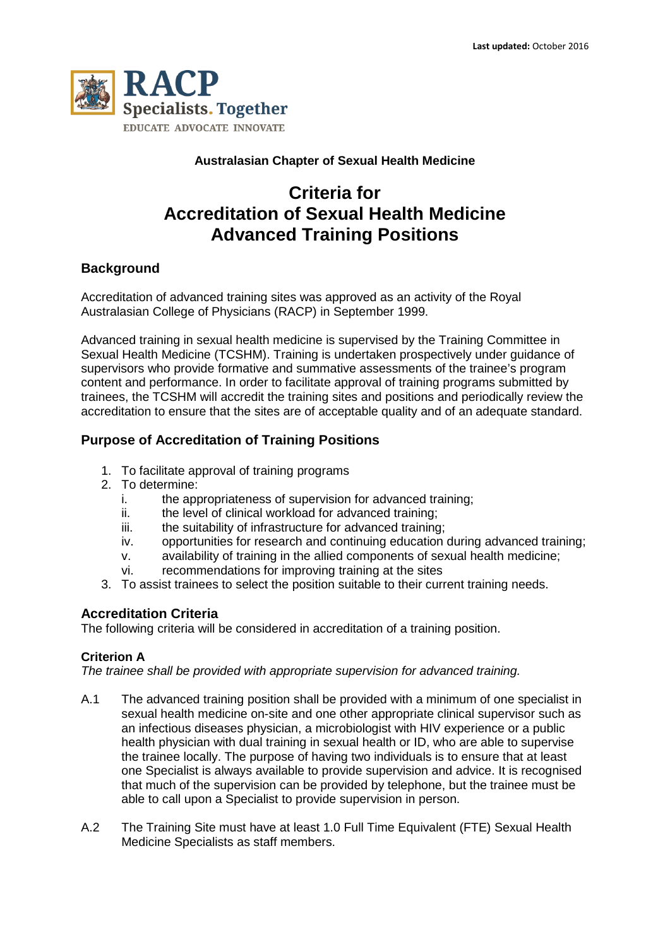

## **Australasian Chapter of Sexual Health Medicine**

# **Criteria for Accreditation of Sexual Health Medicine Advanced Training Positions**

## **Background**

Accreditation of advanced training sites was approved as an activity of the Royal Australasian College of Physicians (RACP) in September 1999.

Advanced training in sexual health medicine is supervised by the Training Committee in Sexual Health Medicine (TCSHM). Training is undertaken prospectively under guidance of supervisors who provide formative and summative assessments of the trainee's program content and performance. In order to facilitate approval of training programs submitted by trainees, the TCSHM will accredit the training sites and positions and periodically review the accreditation to ensure that the sites are of acceptable quality and of an adequate standard.

## **Purpose of Accreditation of Training Positions**

- 1. To facilitate approval of training programs
- 2. To determine:
	- i. the appropriateness of supervision for advanced training;
	- ii. the level of clinical workload for advanced training;
	- iii. the suitability of infrastructure for advanced training;
	- iv. opportunities for research and continuing education during advanced training;
	- v. availability of training in the allied components of sexual health medicine;
	- vi. recommendations for improving training at the sites
- 3. To assist trainees to select the position suitable to their current training needs.

## **Accreditation Criteria**

The following criteria will be considered in accreditation of a training position.

### **Criterion A**

*The trainee shall be provided with appropriate supervision for advanced training.* 

- A.1 The advanced training position shall be provided with a minimum of one specialist in sexual health medicine on-site and one other appropriate clinical supervisor such as an infectious diseases physician, a microbiologist with HIV experience or a public health physician with dual training in sexual health or ID, who are able to supervise the trainee locally. The purpose of having two individuals is to ensure that at least one Specialist is always available to provide supervision and advice. It is recognised that much of the supervision can be provided by telephone, but the trainee must be able to call upon a Specialist to provide supervision in person.
- A.2 The Training Site must have at least 1.0 Full Time Equivalent (FTE) Sexual Health Medicine Specialists as staff members.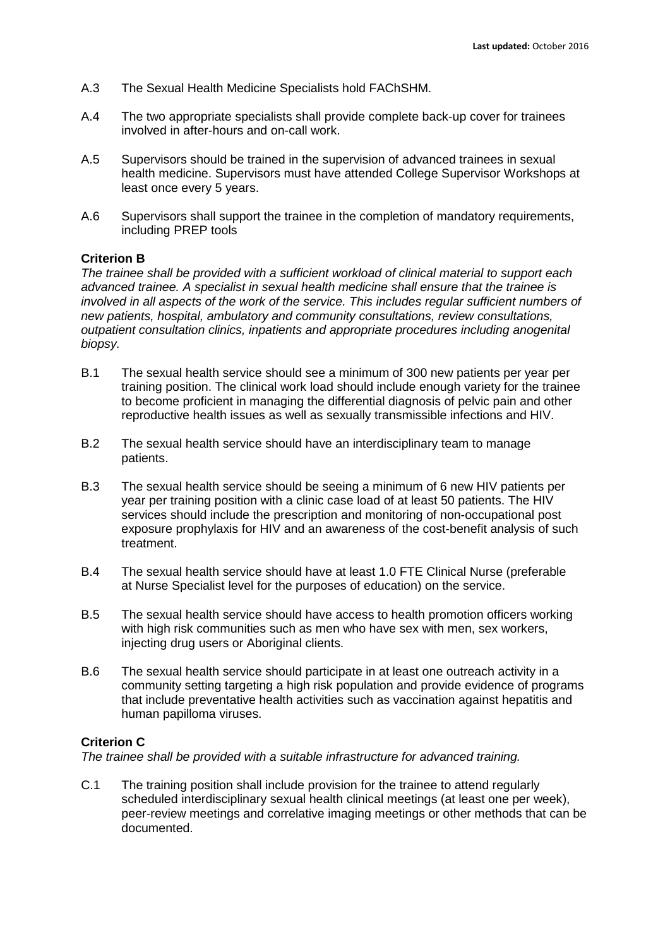- A.3 The Sexual Health Medicine Specialists hold FAChSHM.
- A.4 The two appropriate specialists shall provide complete back-up cover for trainees involved in after-hours and on-call work.
- A.5 Supervisors should be trained in the supervision of advanced trainees in sexual health medicine. Supervisors must have attended College Supervisor Workshops at least once every 5 years.
- A.6 Supervisors shall support the trainee in the completion of mandatory requirements, including PREP tools

#### **Criterion B**

*The trainee shall be provided with a sufficient workload of clinical material to support each advanced trainee. A specialist in sexual health medicine shall ensure that the trainee is involved in all aspects of the work of the service. This includes regular sufficient numbers of new patients, hospital, ambulatory and community consultations, review consultations, outpatient consultation clinics, inpatients and appropriate procedures including anogenital biopsy.* 

- B.1 The sexual health service should see a minimum of 300 new patients per year per training position. The clinical work load should include enough variety for the trainee to become proficient in managing the differential diagnosis of pelvic pain and other reproductive health issues as well as sexually transmissible infections and HIV.
- B.2 The sexual health service should have an interdisciplinary team to manage patients.
- B.3 The sexual health service should be seeing a minimum of 6 new HIV patients per year per training position with a clinic case load of at least 50 patients. The HIV services should include the prescription and monitoring of non-occupational post exposure prophylaxis for HIV and an awareness of the cost-benefit analysis of such treatment.
- B.4 The sexual health service should have at least 1.0 FTE Clinical Nurse (preferable at Nurse Specialist level for the purposes of education) on the service.
- B.5 The sexual health service should have access to health promotion officers working with high risk communities such as men who have sex with men, sex workers, injecting drug users or Aboriginal clients.
- B.6 The sexual health service should participate in at least one outreach activity in a community setting targeting a high risk population and provide evidence of programs that include preventative health activities such as vaccination against hepatitis and human papilloma viruses.

#### **Criterion C**

*The trainee shall be provided with a suitable infrastructure for advanced training.* 

C.1 The training position shall include provision for the trainee to attend regularly scheduled interdisciplinary sexual health clinical meetings (at least one per week), peer-review meetings and correlative imaging meetings or other methods that can be documented.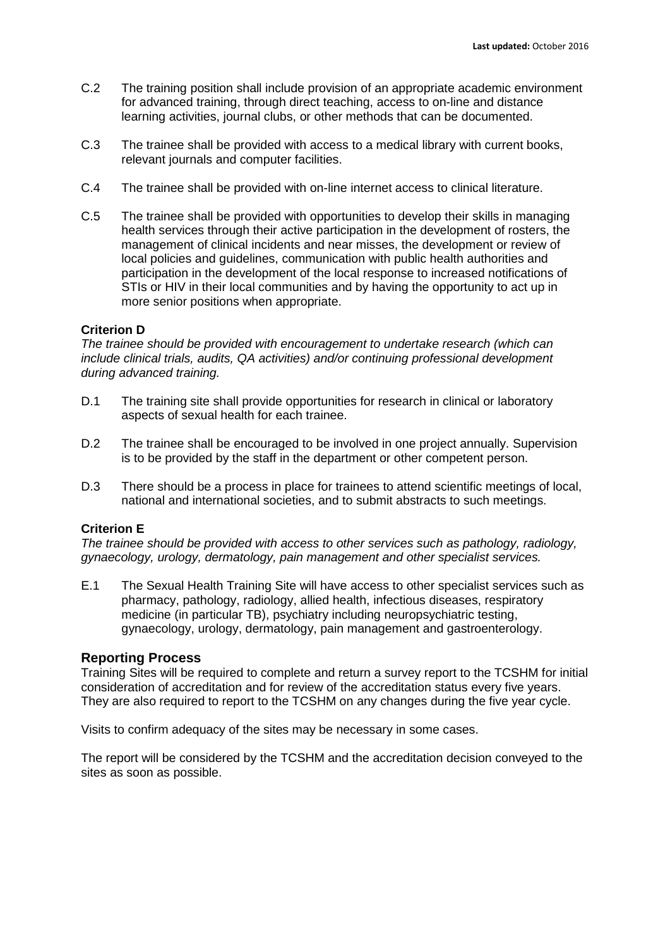- C.2 The training position shall include provision of an appropriate academic environment for advanced training, through direct teaching, access to on-line and distance learning activities, journal clubs, or other methods that can be documented.
- C.3 The trainee shall be provided with access to a medical library with current books, relevant journals and computer facilities.
- C.4 The trainee shall be provided with on-line internet access to clinical literature.
- C.5 The trainee shall be provided with opportunities to develop their skills in managing health services through their active participation in the development of rosters, the management of clinical incidents and near misses, the development or review of local policies and guidelines, communication with public health authorities and participation in the development of the local response to increased notifications of STIs or HIV in their local communities and by having the opportunity to act up in more senior positions when appropriate.

#### **Criterion D**

*The trainee should be provided with encouragement to undertake research (which can include clinical trials, audits, QA activities) and/or continuing professional development during advanced training.* 

- D.1 The training site shall provide opportunities for research in clinical or laboratory aspects of sexual health for each trainee.
- D.2 The trainee shall be encouraged to be involved in one project annually. Supervision is to be provided by the staff in the department or other competent person.
- D.3 There should be a process in place for trainees to attend scientific meetings of local, national and international societies, and to submit abstracts to such meetings.

#### **Criterion E**

*The trainee should be provided with access to other services such as pathology, radiology, gynaecology, urology, dermatology, pain management and other specialist services.* 

E.1 The Sexual Health Training Site will have access to other specialist services such as pharmacy, pathology, radiology, allied health, infectious diseases, respiratory medicine (in particular TB), psychiatry including neuropsychiatric testing, gynaecology, urology, dermatology, pain management and gastroenterology.

#### **Reporting Process**

Training Sites will be required to complete and return a survey report to the TCSHM for initial consideration of accreditation and for review of the accreditation status every five years. They are also required to report to the TCSHM on any changes during the five year cycle.

Visits to confirm adequacy of the sites may be necessary in some cases.

The report will be considered by the TCSHM and the accreditation decision conveyed to the sites as soon as possible.